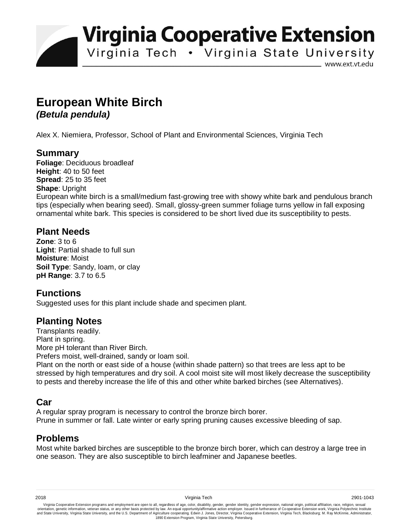**Virginia Cooperative Extension** 

Virginia Tech . Virginia State University

www.ext.vt.edu

# **European White Birch**  *(Betula pendula)*

Alex X. Niemiera, Professor, School of Plant and Environmental Sciences, Virginia Tech

### **Summary**

**Foliage**: Deciduous broadleaf **Height**: 40 to 50 feet **Spread**: 25 to 35 feet **Shape**: Upright European white birch is a small/medium fast-growing tree with showy white bark and pendulous branch tips (especially when bearing seed). Small, glossy-green summer foliage turns yellow in fall exposing ornamental white bark. This species is considered to be short lived due its susceptibility to pests.

### **Plant Needs**

**Zone**: 3 to 6 **Light**: Partial shade to full sun **Moisture**: Moist **Soil Type**: Sandy, loam, or clay **pH Range**: 3.7 to 6.5

## **Functions**

Suggested uses for this plant include shade and specimen plant.

### **Planting Notes**

Transplants readily. Plant in spring. More pH tolerant than River Birch.

Prefers moist, well-drained, sandy or loam soil.

Plant on the north or east side of a house (within shade pattern) so that trees are less apt to be stressed by high temperatures and dry soil. A cool moist site will most likely decrease the susceptibility to pests and thereby increase the life of this and other white barked birches (see Alternatives).

### **Car**

A regular spray program is necessary to control the bronze birch borer. Prune in summer or fall. Late winter or early spring pruning causes excessive bleeding of sap.

## **Problems**

Most white barked birches are susceptible to the bronze birch borer, which can destroy a large tree in one season. They are also susceptible to birch leafminer and Japanese beetles.